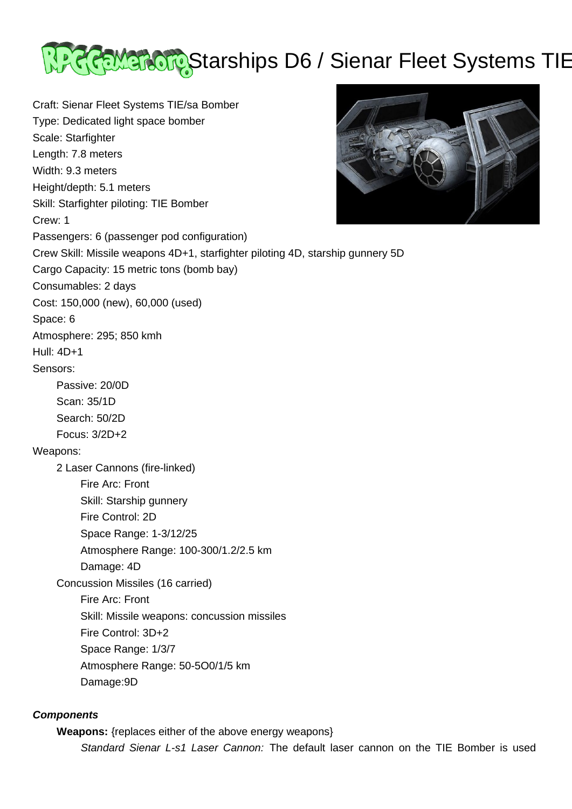

Craft: Sienar Fleet Systems TIE/sa Bomber Type: Dedicated light space bomber Scale: Starfighter Length: 7.8 meters Width: 9.3 meters Height/depth: 5.1 meters Skill: Starfighter piloting: TIE Bomber Crew: 1 Passengers: 6 (passenger pod configuration) Crew Skill: Missile weapons 4D+1, starfighter piloting 4D, starship gunnery 5D Cargo Capacity: 15 metric tons (bomb bay) Consumables: 2 days Cost: 150,000 (new), 60,000 (used) Space: 6 Atmosphere: 295; 850 kmh Hull: 4D+1 Sensors: Passive: 20/0D Scan: 35/1D Search: 50/2D Focus: 3/2D+2 Weapons: 2 Laser Cannons (fire-linked) Fire Arc: Front Skill: Starship gunnery Fire Control: 2D Space Range: 1-3/12/25 Atmosphere Range: 100-300/1.2/2.5 km Damage: 4D Concussion Missiles (16 carried) Fire Arc: Front Skill: Missile weapons: concussion missiles Fire Control: 3D+2 Space Range: 1/3/7 Atmosphere Range: 50-5O0/1/5 km Damage:9D

## **Components**

**Weapons:** {replaces either of the above energy weapons}

Standard Sienar L-s1 Laser Cannon: The default laser cannon on the TIE Bomber is used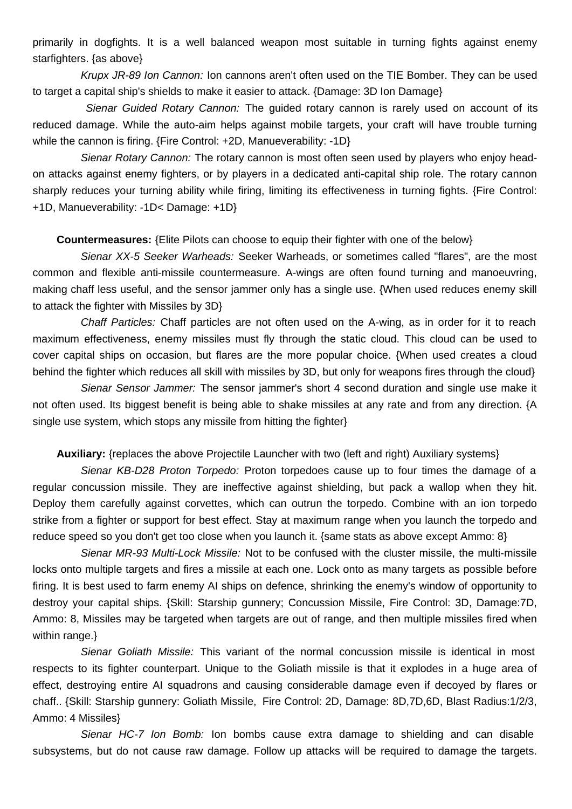primarily in dogfights. It is a well balanced weapon most suitable in turning fights against enemy starfighters. {as above}

 Krupx JR-89 Ion Cannon: Ion cannons aren't often used on the TIE Bomber. They can be used to target a capital ship's shields to make it easier to attack. {Damage: 3D Ion Damage}

Sienar Guided Rotary Cannon: The guided rotary cannon is rarely used on account of its reduced damage. While the auto-aim helps against mobile targets, your craft will have trouble turning while the cannon is firing. {Fire Control: +2D, Manueverability: -1D}

Sienar Rotary Cannon: The rotary cannon is most often seen used by players who enjoy headon attacks against enemy fighters, or by players in a dedicated anti-capital ship role. The rotary cannon sharply reduces your turning ability while firing, limiting its effectiveness in turning fights. {Fire Control: +1D, Manueverability: -1D< Damage: +1D}

**Countermeasures:** {Elite Pilots can choose to equip their fighter with one of the below}

 Sienar XX-5 Seeker Warheads: Seeker Warheads, or sometimes called "flares", are the most common and flexible anti-missile countermeasure. A-wings are often found turning and manoeuvring, making chaff less useful, and the sensor jammer only has a single use. {When used reduces enemy skill to attack the fighter with Missiles by 3D}

 Chaff Particles: Chaff particles are not often used on the A-wing, as in order for it to reach maximum effectiveness, enemy missiles must fly through the static cloud. This cloud can be used to cover capital ships on occasion, but flares are the more popular choice. {When used creates a cloud behind the fighter which reduces all skill with missiles by 3D, but only for weapons fires through the cloud}

Sienar Sensor Jammer: The sensor jammer's short 4 second duration and single use make it not often used. Its biggest benefit is being able to shake missiles at any rate and from any direction. {A single use system, which stops any missile from hitting the fighter}

**Auxiliary:** {replaces the above Projectile Launcher with two (left and right) Auxiliary systems}

 Sienar KB-D28 Proton Torpedo: Proton torpedoes cause up to four times the damage of a regular concussion missile. They are ineffective against shielding, but pack a wallop when they hit. Deploy them carefully against corvettes, which can outrun the torpedo. Combine with an ion torpedo strike from a fighter or support for best effect. Stay at maximum range when you launch the torpedo and reduce speed so you don't get too close when you launch it. {same stats as above except Ammo: 8}

 Sienar MR-93 Multi-Lock Missile: Not to be confused with the cluster missile, the multi-missile locks onto multiple targets and fires a missile at each one. Lock onto as many targets as possible before firing. It is best used to farm enemy AI ships on defence, shrinking the enemy's window of opportunity to destroy your capital ships. {Skill: Starship gunnery; Concussion Missile, Fire Control: 3D, Damage:7D, Ammo: 8, Missiles may be targeted when targets are out of range, and then multiple missiles fired when within range.}

Sienar Goliath Missile: This variant of the normal concussion missile is identical in most respects to its fighter counterpart. Unique to the Goliath missile is that it explodes in a huge area of effect, destroying entire AI squadrons and causing considerable damage even if decoyed by flares or chaff.. {Skill: Starship gunnery: Goliath Missile, Fire Control: 2D, Damage: 8D,7D,6D, Blast Radius:1/2/3, Ammo: 4 Missiles}

 Sienar HC-7 Ion Bomb: Ion bombs cause extra damage to shielding and can disable subsystems, but do not cause raw damage. Follow up attacks will be required to damage the targets.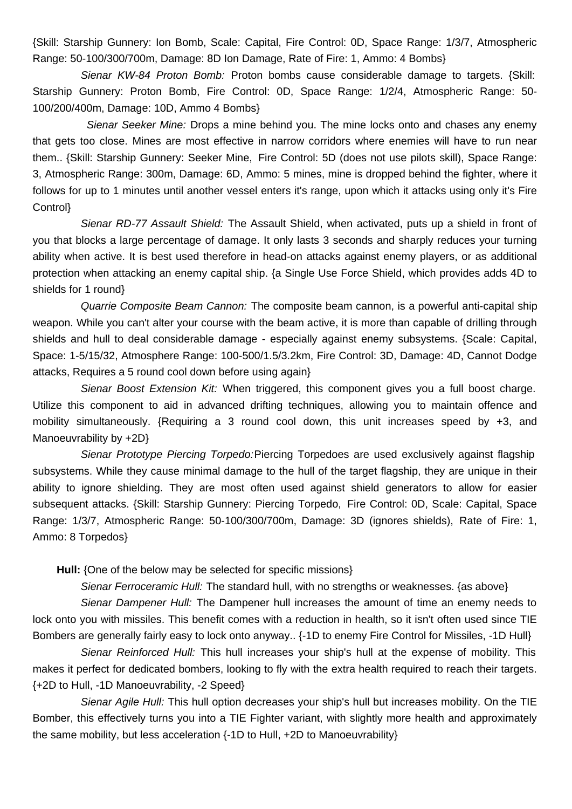{Skill: Starship Gunnery: Ion Bomb, Scale: Capital, Fire Control: 0D, Space Range: 1/3/7, Atmospheric Range: 50-100/300/700m, Damage: 8D Ion Damage, Rate of Fire: 1, Ammo: 4 Bombs}

 Sienar KW-84 Proton Bomb: Proton bombs cause considerable damage to targets. {Skill: Starship Gunnery: Proton Bomb, Fire Control: 0D, Space Range: 1/2/4, Atmospheric Range: 50- 100/200/400m, Damage: 10D, Ammo 4 Bombs}

 Sienar Seeker Mine: Drops a mine behind you. The mine locks onto and chases any enemy that gets too close. Mines are most effective in narrow corridors where enemies will have to run near them.. {Skill: Starship Gunnery: Seeker Mine, Fire Control: 5D (does not use pilots skill), Space Range: 3, Atmospheric Range: 300m, Damage: 6D, Ammo: 5 mines, mine is dropped behind the fighter, where it follows for up to 1 minutes until another vessel enters it's range, upon which it attacks using only it's Fire Control}

Sienar RD-77 Assault Shield: The Assault Shield, when activated, puts up a shield in front of you that blocks a large percentage of damage. It only lasts 3 seconds and sharply reduces your turning ability when active. It is best used therefore in head-on attacks against enemy players, or as additional protection when attacking an enemy capital ship. {a Single Use Force Shield, which provides adds 4D to shields for 1 round}

 Quarrie Composite Beam Cannon: The composite beam cannon, is a powerful anti-capital ship weapon. While you can't alter your course with the beam active, it is more than capable of drilling through shields and hull to deal considerable damage - especially against enemy subsystems. {Scale: Capital, Space: 1-5/15/32, Atmosphere Range: 100-500/1.5/3.2km, Fire Control: 3D, Damage: 4D, Cannot Dodge attacks, Requires a 5 round cool down before using again}

Sienar Boost Extension Kit: When triggered, this component gives you a full boost charge. Utilize this component to aid in advanced drifting techniques, allowing you to maintain offence and mobility simultaneously. {Requiring a 3 round cool down, this unit increases speed by +3, and Manoeuvrability by +2D}

 Sienar Prototype Piercing Torpedo:Piercing Torpedoes are used exclusively against flagship subsystems. While they cause minimal damage to the hull of the target flagship, they are unique in their ability to ignore shielding. They are most often used against shield generators to allow for easier subsequent attacks. {Skill: Starship Gunnery: Piercing Torpedo, Fire Control: 0D, Scale: Capital, Space Range: 1/3/7, Atmospheric Range: 50-100/300/700m, Damage: 3D (ignores shields), Rate of Fire: 1, Ammo: 8 Torpedos}

**Hull:** {One of the below may be selected for specific missions}

Sienar Ferroceramic Hull: The standard hull, with no strengths or weaknesses. {as above}

Sienar Dampener Hull: The Dampener hull increases the amount of time an enemy needs to lock onto you with missiles. This benefit comes with a reduction in health, so it isn't often used since TIE Bombers are generally fairly easy to lock onto anyway.. {-1D to enemy Fire Control for Missiles, -1D Hull}

Sienar Reinforced Hull: This hull increases your ship's hull at the expense of mobility. This makes it perfect for dedicated bombers, looking to fly with the extra health required to reach their targets. {+2D to Hull, -1D Manoeuvrability, -2 Speed}

Sienar Agile Hull: This hull option decreases your ship's hull but increases mobility. On the TIE Bomber, this effectively turns you into a TIE Fighter variant, with slightly more health and approximately the same mobility, but less acceleration {-1D to Hull, +2D to Manoeuvrability}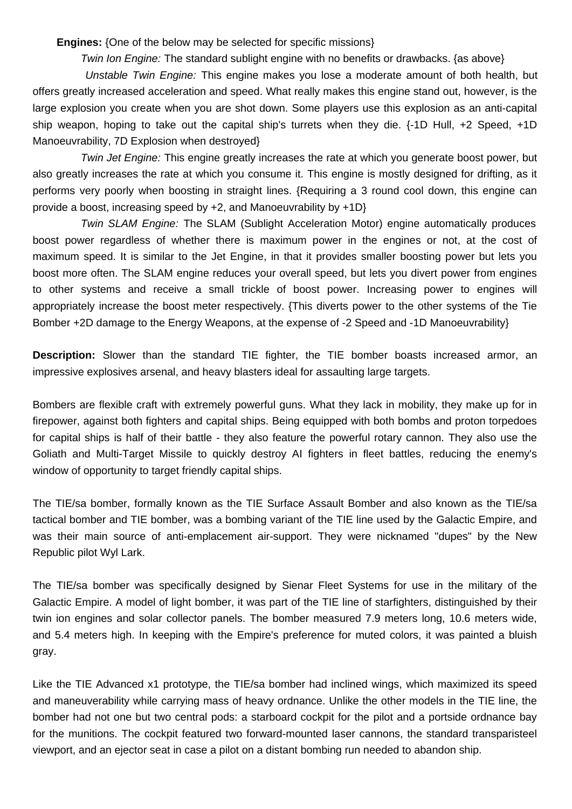**Engines:** {One of the below may be selected for specific missions}

Twin Ion Engine: The standard sublight engine with no benefits or drawbacks. {as above}

 Unstable Twin Engine: This engine makes you lose a moderate amount of both health, but offers greatly increased acceleration and speed. What really makes this engine stand out, however, is the large explosion you create when you are shot down. Some players use this explosion as an anti-capital ship weapon, hoping to take out the capital ship's turrets when they die. {-1D Hull, +2 Speed, +1D Manoeuvrability, 7D Explosion when destroyed}

Twin Jet Engine: This engine greatly increases the rate at which you generate boost power, but also greatly increases the rate at which you consume it. This engine is mostly designed for drifting, as it performs very poorly when boosting in straight lines. {Requiring a 3 round cool down, this engine can provide a boost, increasing speed by  $+2$ , and Manoeuvrability by  $+1D$ }

 Twin SLAM Engine: The SLAM (Sublight Acceleration Motor) engine automatically produces boost power regardless of whether there is maximum power in the engines or not, at the cost of maximum speed. It is similar to the Jet Engine, in that it provides smaller boosting power but lets you boost more often. The SLAM engine reduces your overall speed, but lets you divert power from engines to other systems and receive a small trickle of boost power. Increasing power to engines will appropriately increase the boost meter respectively. {This diverts power to the other systems of the Tie Bomber +2D damage to the Energy Weapons, at the expense of -2 Speed and -1D Manoeuvrability}

**Description:** Slower than the standard TIE fighter, the TIE bomber boasts increased armor, an impressive explosives arsenal, and heavy blasters ideal for assaulting large targets.

Bombers are flexible craft with extremely powerful guns. What they lack in mobility, they make up for in firepower, against both fighters and capital ships. Being equipped with both bombs and proton torpedoes for capital ships is half of their battle - they also feature the powerful rotary cannon. They also use the Goliath and Multi-Target Missile to quickly destroy AI fighters in fleet battles, reducing the enemy's window of opportunity to target friendly capital ships.

The TIE/sa bomber, formally known as the TIE Surface Assault Bomber and also known as the TIE/sa tactical bomber and TIE bomber, was a bombing variant of the TIE line used by the Galactic Empire, and was their main source of anti-emplacement air-support. They were nicknamed "dupes" by the New Republic pilot Wyl Lark.

The TIE/sa bomber was specifically designed by Sienar Fleet Systems for use in the military of the Galactic Empire. A model of light bomber, it was part of the TIE line of starfighters, distinguished by their twin ion engines and solar collector panels. The bomber measured 7.9 meters long, 10.6 meters wide, and 5.4 meters high. In keeping with the Empire's preference for muted colors, it was painted a bluish gray.

Like the TIE Advanced x1 prototype, the TIE/sa bomber had inclined wings, which maximized its speed and maneuverability while carrying mass of heavy ordnance. Unlike the other models in the TIE line, the bomber had not one but two central pods: a starboard cockpit for the pilot and a portside ordnance bay for the munitions. The cockpit featured two forward-mounted laser cannons, the standard transparisteel viewport, and an ejector seat in case a pilot on a distant bombing run needed to abandon ship.